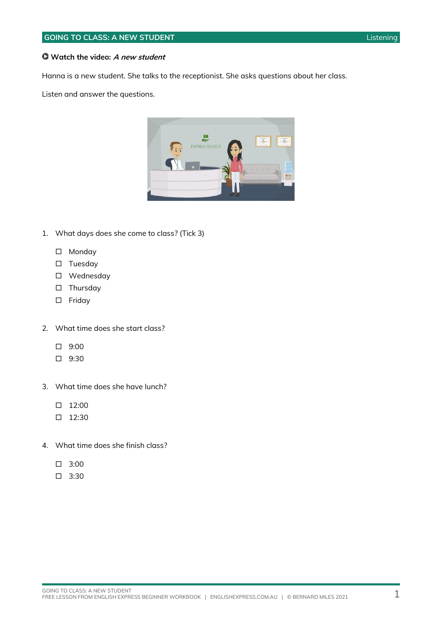#### **Watch the video: A new student**

Hanna is a new student. She talks to the receptionist. She asks questions about her class.

Listen and answer the questions.



- 1. What days does she come to class? (Tick 3)
	- □ Monday
	- $\square$  Tuesday
	- Wednesday
	- □ Thursday
	- □ Friday
- 2. What time does she start class?
	- $\Box$  9:00
	- $\Box$  9:30
- 3. What time does she have lunch?
	- $\Box$  12:00
	- $\Box$  12:30
- 4. What time does she finish class?
	- $\square$  3:00
	- $\Box$  3:30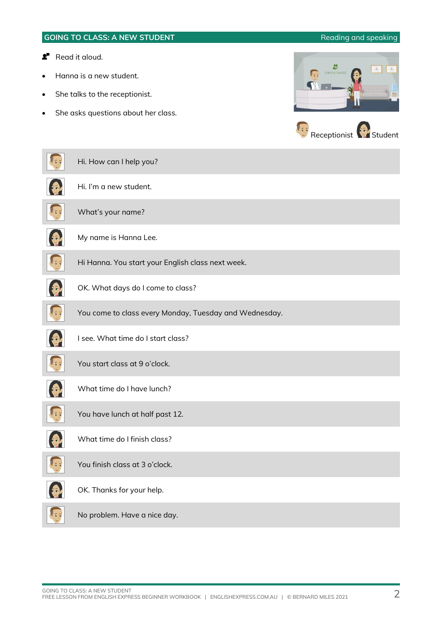### **GOING TO CLASS: A NEW STUDENT Reading and speaking**

### **Read it aloud.**

- Hanna is a new student.
- She talks to the receptionist.
- She asks questions about her class.





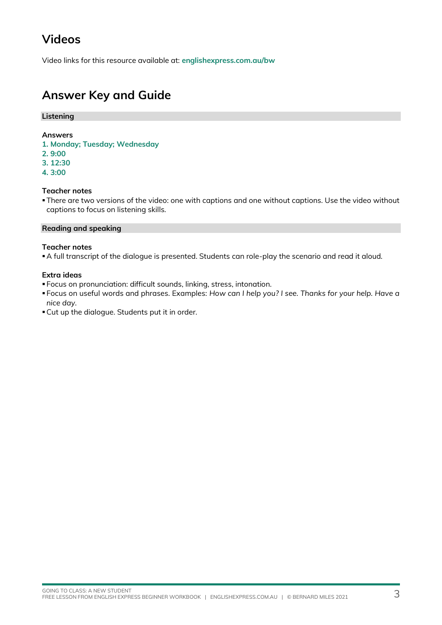## **Videos**

Video links for this resource available at: **[englishexpress.com.au/bw](https://www.englishexpress.com.au/bw)**

## **Answer Key and Guide**

### **Listening**

#### **Answers**

- **1. Monday; Tuesday; Wednesday**
- **2. 9:00**
- **3. 12:30**
- **4. 3:00**

### **Teacher notes**

**There are two versions of the video: one with captions and one without captions. Use the video without** captions to focus on listening skills.

#### **Reading and speaking**

#### **Teacher notes**

▪A full transcript of the dialogue is presented. Students can role-play the scenario and read it aloud.

### **Extra ideas**

- Focus on pronunciation: difficult sounds, linking, stress, intonation.
- Focus on useful words and phrases. Examples: *How can I help you? I see. Thanks for your help. Have a nice day.*
- ▪Cut up the dialogue. Students put it in order.